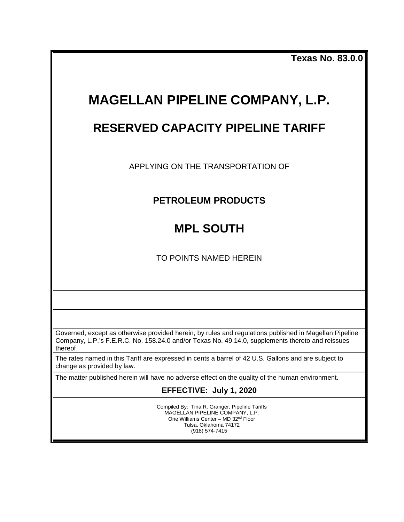| <b>Texas No. 83.0.0</b>                                                                                                                                                                                                |  |  |  |  |  |
|------------------------------------------------------------------------------------------------------------------------------------------------------------------------------------------------------------------------|--|--|--|--|--|
|                                                                                                                                                                                                                        |  |  |  |  |  |
| <b>MAGELLAN PIPELINE COMPANY, L.P.</b>                                                                                                                                                                                 |  |  |  |  |  |
| <b>RESERVED CAPACITY PIPELINE TARIFF</b>                                                                                                                                                                               |  |  |  |  |  |
| APPLYING ON THE TRANSPORTATION OF                                                                                                                                                                                      |  |  |  |  |  |
| <b>PETROLEUM PRODUCTS</b>                                                                                                                                                                                              |  |  |  |  |  |
| <b>MPL SOUTH</b>                                                                                                                                                                                                       |  |  |  |  |  |
| TO POINTS NAMED HEREIN                                                                                                                                                                                                 |  |  |  |  |  |
|                                                                                                                                                                                                                        |  |  |  |  |  |
| Governed, except as otherwise provided herein, by rules and regulations published in Magellan Pipeline<br>Company, L.P.'s F.E.R.C. No. 158.24.0 and/or Texas No. 49.14.0, supplements thereto and reissues<br>thereof. |  |  |  |  |  |
| The rates named in this Tariff are expressed in cents a barrel of 42 U.S. Gallons and are subject to<br>change as provided by law.                                                                                     |  |  |  |  |  |
| The matter published herein will have no adverse effect on the quality of the human environment.                                                                                                                       |  |  |  |  |  |
| EFFECTIVE: July 1, 2020                                                                                                                                                                                                |  |  |  |  |  |
| Compiled By: Tina R. Granger, Pipeline Tariffs<br>MAGELLAN PIPELINE COMPANY, L.P.<br>One Williams Center - MD 32 <sup>nd</sup> Floor<br>Tulsa, Oklahoma 74172<br>(918) 574-7415                                        |  |  |  |  |  |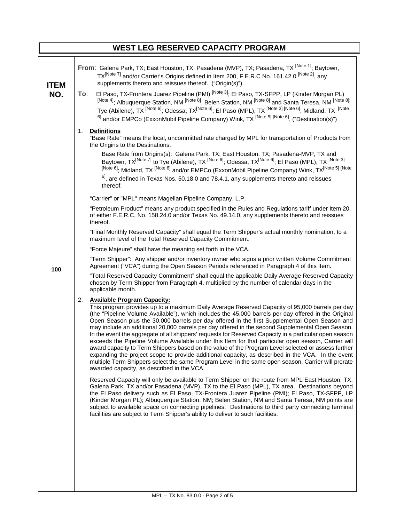|                    | <b>WEST LEG RESERVED CAPACITY PROGRAM</b>                                                                                                                                                                                                                                                                                                                                                                                                                                                                                                                                                                                                                                                                                                                                                                                                                                                                                                                                                                                                                                                                                                                                                                                                                                                                                                                                                                                                                                                                                                                                                                                                                                                                                                                                                                                                                                                                                                                                                                                                                                                                                                                                                                                                                                                                                                                                                                                                                                                                                                                                                                                                                                                                                                                                                                                                                                                                                                                                                                                                                                                                                                                                                                              |
|--------------------|------------------------------------------------------------------------------------------------------------------------------------------------------------------------------------------------------------------------------------------------------------------------------------------------------------------------------------------------------------------------------------------------------------------------------------------------------------------------------------------------------------------------------------------------------------------------------------------------------------------------------------------------------------------------------------------------------------------------------------------------------------------------------------------------------------------------------------------------------------------------------------------------------------------------------------------------------------------------------------------------------------------------------------------------------------------------------------------------------------------------------------------------------------------------------------------------------------------------------------------------------------------------------------------------------------------------------------------------------------------------------------------------------------------------------------------------------------------------------------------------------------------------------------------------------------------------------------------------------------------------------------------------------------------------------------------------------------------------------------------------------------------------------------------------------------------------------------------------------------------------------------------------------------------------------------------------------------------------------------------------------------------------------------------------------------------------------------------------------------------------------------------------------------------------------------------------------------------------------------------------------------------------------------------------------------------------------------------------------------------------------------------------------------------------------------------------------------------------------------------------------------------------------------------------------------------------------------------------------------------------------------------------------------------------------------------------------------------------------------------------------------------------------------------------------------------------------------------------------------------------------------------------------------------------------------------------------------------------------------------------------------------------------------------------------------------------------------------------------------------------------------------------------------------------------------------------------------------------|
| <b>ITEM</b><br>NO. | From: Galena Park, TX; East Houston, TX; Pasadena (MVP), TX; Pasadena, TX <sup>[Note 1]</sup> ; Baytown,<br>TX <sup>[Note 7]</sup> and/or Carrier's Origins defined in Item 200, F.E.R.C No. 161.42.0 <sup> [Note 2]</sup> , any<br>supplements thereto and reissues thereof. ("Origin(s)")<br>El Paso, TX-Frontera Juarez Pipeline (PMI) <sup>[Note 3]</sup> ; El Paso, TX-SFPP, LP (Kinder Morgan PL)<br>To:<br>[Note 4]; Albuquerque Station, NM [Note 8], Belen Station, NM [Note 8] and Santa Teresa, NM [Note 8];<br>Tye (Abilene), TX [Note 6]; Odessa, TX <sup>[Note 6]</sup> ; El Paso (MPL), TX <sup>[Note 3]</sup> [Note 6]; Midland, TX <sup>[Note</sup><br>$^{6}$ ] and/or EMPCo (ExxonMobil Pipeline Company) Wink, TX [Note 5] [Note 6], ("Destination(s)")                                                                                                                                                                                                                                                                                                                                                                                                                                                                                                                                                                                                                                                                                                                                                                                                                                                                                                                                                                                                                                                                                                                                                                                                                                                                                                                                                                                                                                                                                                                                                                                                                                                                                                                                                                                                                                                                                                                                                                                                                                                                                                                                                                                                                                                                                                                                                                                                                                             |
| 100                | <b>Definitions</b><br>1.<br>"Base Rate" means the local, uncommitted rate charged by MPL for transportation of Products from<br>the Origins to the Destinations.<br>Base Rate from Origins(s): Galena Park, TX; East Houston, TX; Pasadena-MVP, TX and<br>Baytown, TX <sup>[Note 7]</sup> to Tye (Abilene), TX <sup>[Note 6]</sup> ; Odessa, TX <sup>[Note 6]</sup> ; El Paso (MPL), TX <sup>[Note 3]</sup><br>[Note 6]; Midland, TX [Note 6] and/or EMPCo (ExxonMobil Pipeline Company) Wink, TX <sup>[Note 5]</sup> [Note<br>$^{6}$ , are defined in Texas Nos. 50.18.0 and 78.4.1, any supplements thereto and reissues<br>thereof.<br>"Carrier" or "MPL" means Magellan Pipeline Company, L.P.<br>"Petroleum Product" means any product specified in the Rules and Regulations tariff under Item 20,<br>of either F.E.R.C. No. 158.24.0 and/or Texas No. 49.14.0, any supplements thereto and reissues<br>thereof.<br>"Final Monthly Reserved Capacity" shall equal the Term Shipper's actual monthly nomination, to a<br>maximum level of the Total Reserved Capacity Commitment.<br>"Force Majeure" shall have the meaning set forth in the VCA.<br>"Term Shipper": Any shipper and/or inventory owner who signs a prior written Volume Commitment<br>Agreement ("VCA") during the Open Season Periods referenced in Paragraph 4 of this Item.<br>"Total Reserved Capacity Commitment" shall equal the applicable Daily Average Reserved Capacity<br>chosen by Term Shipper from Paragraph 4, multiplied by the number of calendar days in the<br>applicable month.<br>2.<br><b>Available Program Capacity:</b><br>This program provides up to a maximum Daily Average Reserved Capacity of 95,000 barrels per day<br>(the "Pipeline Volume Available"), which includes the 45,000 barrels per day offered in the Original<br>Open Season plus the 30,000 barrels per day offered in the first Supplemental Open Season and<br>may include an additional 20,000 barrels per day offered in the second Supplemental Open Season.<br>In the event the aggregate of all shippers' requests for Reserved Capacity in a particular open season<br>exceeds the Pipeline Volume Available under this Item for that particular open season, Carrier will<br>award capacity to Term Shippers based on the value of the Program Level selected or assess further<br>expanding the project scope to provide additional capacity, as described in the VCA. In the event<br>multiple Term Shippers select the same Program Level in the same open season, Carrier will prorate<br>awarded capacity, as described in the VCA.<br>Reserved Capacity will only be available to Term Shipper on the route from MPL East Houston, TX,<br>Galena Park, TX and/or Pasadena (MVP), TX to the El Paso (MPL), TX area. Destinations beyond<br>the El Paso delivery such as El Paso, TX-Frontera Juarez Pipeline (PMI); El Paso, TX-SFPP, LP<br>(Kinder Morgan PL); Albuquerque Station, NM; Belen Station, NM and Santa Teresa, NM points are<br>subject to available space on connecting pipelines. Destinations to third party connecting terminal<br>facilities are subject to Term Shipper's ability to deliver to such facilities. |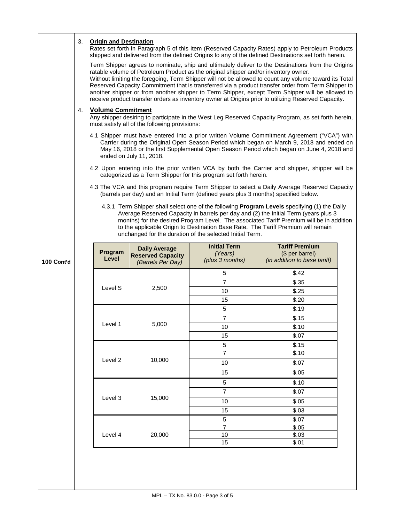|            | 3.                                                                                                                                                                                                                                                                                                                                                                                                                                                                                                                                                                                                                |                                                                                                                                                                                                                                                                                                                 | <b>Origin and Destination</b> |                                                                       | Rates set forth in Paragraph 5 of this Item (Reserved Capacity Rates) apply to Petroleum Products<br>shipped and delivered from the defined Origins to any of the defined Destinations set forth herein. |                                                                          |  |  |
|------------|-------------------------------------------------------------------------------------------------------------------------------------------------------------------------------------------------------------------------------------------------------------------------------------------------------------------------------------------------------------------------------------------------------------------------------------------------------------------------------------------------------------------------------------------------------------------------------------------------------------------|-----------------------------------------------------------------------------------------------------------------------------------------------------------------------------------------------------------------------------------------------------------------------------------------------------------------|-------------------------------|-----------------------------------------------------------------------|----------------------------------------------------------------------------------------------------------------------------------------------------------------------------------------------------------|--------------------------------------------------------------------------|--|--|
|            | Term Shipper agrees to nominate, ship and ultimately deliver to the Destinations from the Origins<br>ratable volume of Petroleum Product as the original shipper and/or inventory owner.<br>Without limiting the foregoing, Term Shipper will not be allowed to count any volume toward its Total<br>Reserved Capacity Commitment that is transferred via a product transfer order from Term Shipper to<br>another shipper or from another shipper to Term Shipper, except Term Shipper will be allowed to<br>receive product transfer orders as inventory owner at Origins prior to utilizing Reserved Capacity. |                                                                                                                                                                                                                                                                                                                 |                               |                                                                       |                                                                                                                                                                                                          |                                                                          |  |  |
|            | 4.                                                                                                                                                                                                                                                                                                                                                                                                                                                                                                                                                                                                                | <b>Volume Commitment</b><br>Any shipper desiring to participate in the West Leg Reserved Capacity Program, as set forth herein,<br>must satisfy all of the following provisions:                                                                                                                                |                               |                                                                       |                                                                                                                                                                                                          |                                                                          |  |  |
|            |                                                                                                                                                                                                                                                                                                                                                                                                                                                                                                                                                                                                                   | 4.1 Shipper must have entered into a prior written Volume Commitment Agreement ("VCA") with<br>Carrier during the Original Open Season Period which began on March 9, 2018 and ended on<br>May 16, 2018 or the first Supplemental Open Season Period which began on June 4, 2018 and<br>ended on July 11, 2018. |                               |                                                                       |                                                                                                                                                                                                          |                                                                          |  |  |
|            | 4.2 Upon entering into the prior written VCA by both the Carrier and shipper, shipper will be<br>categorized as a Term Shipper for this program set forth herein.<br>4.3 The VCA and this program require Term Shipper to select a Daily Average Reserved Capacity<br>(barrels per day) and an Initial Term (defined years plus 3 months) specified below.                                                                                                                                                                                                                                                        |                                                                                                                                                                                                                                                                                                                 |                               |                                                                       |                                                                                                                                                                                                          |                                                                          |  |  |
|            |                                                                                                                                                                                                                                                                                                                                                                                                                                                                                                                                                                                                                   |                                                                                                                                                                                                                                                                                                                 |                               |                                                                       |                                                                                                                                                                                                          |                                                                          |  |  |
|            | 4.3.1 Term Shipper shall select one of the following Program Levels specifying (1) the Daily<br>Average Reserved Capacity in barrels per day and (2) the Initial Term (years plus 3<br>months) for the desired Program Level. The associated Tariff Premium will be in addition<br>to the applicable Origin to Destination Base Rate. The Tariff Premium will remain<br>unchanged for the duration of the selected Initial Term.                                                                                                                                                                                  |                                                                                                                                                                                                                                                                                                                 |                               |                                                                       |                                                                                                                                                                                                          |                                                                          |  |  |
| 100 Cont'd |                                                                                                                                                                                                                                                                                                                                                                                                                                                                                                                                                                                                                   |                                                                                                                                                                                                                                                                                                                 | Program<br>Level              | <b>Daily Average</b><br><b>Reserved Capacity</b><br>(Barrels Per Day) | <b>Initial Term</b><br>(Years)<br>(plus 3 months)                                                                                                                                                        | <b>Tariff Premium</b><br>(\$ per barrel)<br>(in addition to base tariff) |  |  |
|            |                                                                                                                                                                                                                                                                                                                                                                                                                                                                                                                                                                                                                   |                                                                                                                                                                                                                                                                                                                 |                               |                                                                       | 5                                                                                                                                                                                                        | \$.42                                                                    |  |  |
|            |                                                                                                                                                                                                                                                                                                                                                                                                                                                                                                                                                                                                                   |                                                                                                                                                                                                                                                                                                                 |                               |                                                                       | $\overline{7}$                                                                                                                                                                                           | \$.35                                                                    |  |  |
|            |                                                                                                                                                                                                                                                                                                                                                                                                                                                                                                                                                                                                                   |                                                                                                                                                                                                                                                                                                                 |                               |                                                                       |                                                                                                                                                                                                          |                                                                          |  |  |
|            |                                                                                                                                                                                                                                                                                                                                                                                                                                                                                                                                                                                                                   |                                                                                                                                                                                                                                                                                                                 | Level S                       | 2,500                                                                 | 10                                                                                                                                                                                                       | \$.25                                                                    |  |  |
|            |                                                                                                                                                                                                                                                                                                                                                                                                                                                                                                                                                                                                                   |                                                                                                                                                                                                                                                                                                                 |                               |                                                                       | 15                                                                                                                                                                                                       | \$.20                                                                    |  |  |
|            |                                                                                                                                                                                                                                                                                                                                                                                                                                                                                                                                                                                                                   |                                                                                                                                                                                                                                                                                                                 |                               |                                                                       | 5                                                                                                                                                                                                        | \$.19                                                                    |  |  |
|            |                                                                                                                                                                                                                                                                                                                                                                                                                                                                                                                                                                                                                   |                                                                                                                                                                                                                                                                                                                 |                               |                                                                       | $\overline{7}$                                                                                                                                                                                           | \$.15                                                                    |  |  |
|            |                                                                                                                                                                                                                                                                                                                                                                                                                                                                                                                                                                                                                   |                                                                                                                                                                                                                                                                                                                 | Level 1                       | 5,000                                                                 | 10                                                                                                                                                                                                       | \$.10                                                                    |  |  |
|            |                                                                                                                                                                                                                                                                                                                                                                                                                                                                                                                                                                                                                   |                                                                                                                                                                                                                                                                                                                 |                               |                                                                       | 15                                                                                                                                                                                                       | \$.07                                                                    |  |  |
|            |                                                                                                                                                                                                                                                                                                                                                                                                                                                                                                                                                                                                                   |                                                                                                                                                                                                                                                                                                                 |                               |                                                                       | $\mathbf 5$                                                                                                                                                                                              | \$.15                                                                    |  |  |
|            |                                                                                                                                                                                                                                                                                                                                                                                                                                                                                                                                                                                                                   |                                                                                                                                                                                                                                                                                                                 |                               |                                                                       | $\overline{7}$                                                                                                                                                                                           | \$.10                                                                    |  |  |
|            |                                                                                                                                                                                                                                                                                                                                                                                                                                                                                                                                                                                                                   |                                                                                                                                                                                                                                                                                                                 | Level 2                       | 10,000                                                                | 10                                                                                                                                                                                                       | \$.07                                                                    |  |  |
|            |                                                                                                                                                                                                                                                                                                                                                                                                                                                                                                                                                                                                                   |                                                                                                                                                                                                                                                                                                                 |                               |                                                                       | 15                                                                                                                                                                                                       | \$.05                                                                    |  |  |
|            |                                                                                                                                                                                                                                                                                                                                                                                                                                                                                                                                                                                                                   |                                                                                                                                                                                                                                                                                                                 |                               |                                                                       | 5                                                                                                                                                                                                        | \$.10                                                                    |  |  |
|            |                                                                                                                                                                                                                                                                                                                                                                                                                                                                                                                                                                                                                   |                                                                                                                                                                                                                                                                                                                 | Level 3                       | 15,000                                                                | $\overline{7}$                                                                                                                                                                                           | \$.07                                                                    |  |  |
|            |                                                                                                                                                                                                                                                                                                                                                                                                                                                                                                                                                                                                                   |                                                                                                                                                                                                                                                                                                                 |                               |                                                                       | 10                                                                                                                                                                                                       | \$.05                                                                    |  |  |
|            |                                                                                                                                                                                                                                                                                                                                                                                                                                                                                                                                                                                                                   |                                                                                                                                                                                                                                                                                                                 |                               |                                                                       | 15                                                                                                                                                                                                       | \$.03                                                                    |  |  |
|            |                                                                                                                                                                                                                                                                                                                                                                                                                                                                                                                                                                                                                   |                                                                                                                                                                                                                                                                                                                 |                               |                                                                       | $\mathbf 5$<br>$\overline{7}$                                                                                                                                                                            | \$.07                                                                    |  |  |
|            |                                                                                                                                                                                                                                                                                                                                                                                                                                                                                                                                                                                                                   |                                                                                                                                                                                                                                                                                                                 | Level 4                       | 20,000                                                                | 10                                                                                                                                                                                                       | \$.05<br>\$.03                                                           |  |  |
|            |                                                                                                                                                                                                                                                                                                                                                                                                                                                                                                                                                                                                                   |                                                                                                                                                                                                                                                                                                                 |                               |                                                                       | 15                                                                                                                                                                                                       | \$.01                                                                    |  |  |
|            |                                                                                                                                                                                                                                                                                                                                                                                                                                                                                                                                                                                                                   |                                                                                                                                                                                                                                                                                                                 |                               |                                                                       |                                                                                                                                                                                                          |                                                                          |  |  |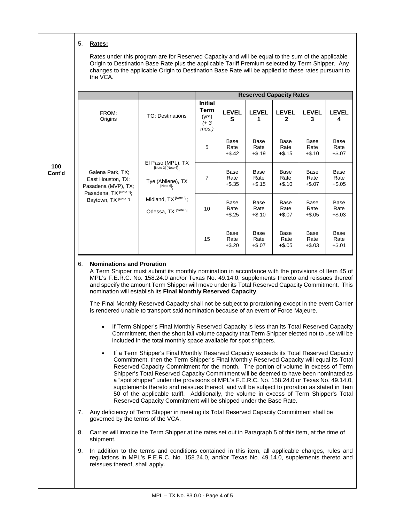## 5. **Rates:**

**100 Cont'd** Rates under this program are for Reserved Capacity and will be equal to the sum of the applicable Origin to Destination Base Rate plus the applicable Tariff Premium selected by Term Shipper. Any changes to the applicable Origin to Destination Base Rate will be applied to these rates pursuant to the VCA.

|                                                                                                    |                                                                           |                                                    |                           |                           | <b>Reserved Capacity Rates</b> |                         |                         |
|----------------------------------------------------------------------------------------------------|---------------------------------------------------------------------------|----------------------------------------------------|---------------------------|---------------------------|--------------------------------|-------------------------|-------------------------|
| FROM:<br>Origins                                                                                   | <b>TO: Destinations</b>                                                   | <b>Initial</b><br>Term<br>(yrs)<br>$(+3)$<br>mos.) | <b>LEVEL</b><br>S         | <b>LEVEL</b><br>1         | <b>LEVEL</b><br>2              | <b>LEVEL</b><br>3       | <b>LEVEL</b><br>4       |
|                                                                                                    |                                                                           | 5                                                  | Base<br>Rate<br>$+$ \$.42 | Base<br>Rate<br>$+ $.19$  | Base<br>Rate<br>$+$ \$.15      | Base<br>Rate<br>$+$.10$ | Base<br>Rate<br>$+$.07$ |
| Galena Park, TX;<br>East Houston, TX;<br>Pasadena (MVP), TX;<br>Pasadena, TX <sup>[Note 1]</sup> ; | El Paso (MPL), TX<br>[Note 3] [Note 6].<br>Tye (Abilene), TX<br>[Note 6]. | 7                                                  | Base<br>Rate<br>$+$ \$.35 | Base<br>Rate<br>$+$ \$.15 | Base<br>Rate<br>$+$ \$.10      | Base<br>Rate<br>$+$.07$ | Base<br>Rate<br>$+$.05$ |
| Baytown, TX [Note 7]                                                                               | Midland, TX <sup>[Note 6]</sup> ;<br>Odessa, TX [Note 6]                  | 10                                                 | Base<br>Rate<br>$+$ \$.25 | Base<br>Rate<br>$+$.10$   | Base<br>Rate<br>$+$.07$        | Base<br>Rate<br>$+$.05$ | Base<br>Rate<br>$+$.03$ |
|                                                                                                    |                                                                           | 15                                                 | Base<br>Rate<br>$+$ \$.20 | Base<br>Rate<br>$+\$.07$  | Base<br>Rate<br>$+$ \$.05      | Base<br>Rate<br>$+$.03$ | Base<br>Rate<br>$+$.01$ |

## 6. **Nominations and Proration**

A Term Shipper must submit its monthly nomination in accordance with the provisions of Item 45 of MPL's F.E.R.C. No. 158.24.0 and/or Texas No. 49.14.0, supplements thereto and reissues thereof and specify the amount Term Shipper will move under its Total Reserved Capacity Commitment. This nomination will establish its **Final Monthly Reserved Capacity**.

The Final Monthly Reserved Capacity shall not be subject to prorationing except in the event Carrier is rendered unable to transport said nomination because of an event of Force Majeure.

- If Term Shipper's Final Monthly Reserved Capacity is less than its Total Reserved Capacity Commitment, then the short fall volume capacity that Term Shipper elected not to use will be included in the total monthly space available for spot shippers.
- If a Term Shipper's Final Monthly Reserved Capacity exceeds its Total Reserved Capacity Commitment, then the Term Shipper's Final Monthly Reserved Capacity will equal its Total Reserved Capacity Commitment for the month. The portion of volume in excess of Term Shipper's Total Reserved Capacity Commitment will be deemed to have been nominated as a "spot shipper" under the provisions of MPL's F.E.R.C. No. 158.24.0 or Texas No. 49.14.0, supplements thereto and reissues thereof, and will be subject to proration as stated in Item 50 of the applicable tariff. Additionally, the volume in excess of Term Shipper's Total Reserved Capacity Commitment will be shipped under the Base Rate.
- 7. Any deficiency of Term Shipper in meeting its Total Reserved Capacity Commitment shall be governed by the terms of the VCA.
- 8. Carrier will invoice the Term Shipper at the rates set out in Paragraph 5 of this item, at the time of shipment.
- 9. In addition to the terms and conditions contained in this item, all applicable charges, rules and regulations in MPL's F.E.R.C. No. 158.24.0, and/or Texas No. 49.14.0, supplements thereto and reissues thereof, shall apply.